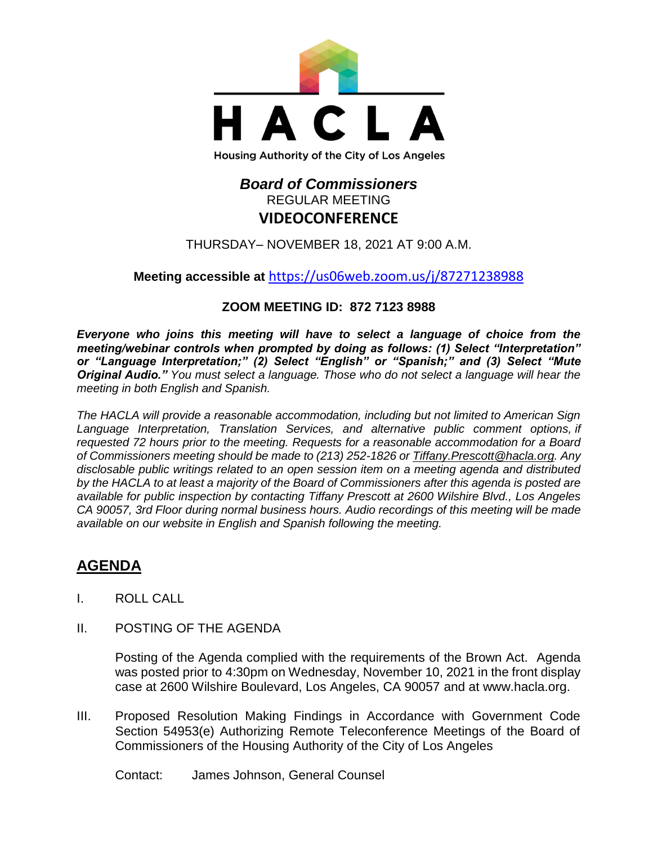

# *Board of Commissioners* REGULAR MEETING **VIDEOCONFERENCE**

THURSDAY– NOVEMBER 18, 2021 AT 9:00 A.M.

**Meeting accessible at** <https://us06web.zoom.us/j/87271238988>

# **ZOOM MEETING ID: 872 7123 8988**

*Everyone who joins this meeting will have to select a language of choice from the meeting/webinar controls when prompted by doing as follows: (1) Select "Interpretation" or "Language Interpretation;" (2) Select "English" or "Spanish;" and (3) Select "Mute Original Audio." You must select a language. Those who do not select a language will hear the meeting in both English and Spanish.*

*The HACLA will provide a reasonable accommodation, including but not limited to American Sign Language Interpretation, Translation Services, and alternative public comment options, if requested 72 hours prior to the meeting. Requests for a reasonable accommodation for a Board of Commissioners meeting should be made to (213) 252-1826 or Tiffany.Prescott@hacla.org. Any disclosable public writings related to an open session item on a meeting agenda and distributed by the HACLA to at least a majority of the Board of Commissioners after this agenda is posted are available for public inspection by contacting Tiffany Prescott at 2600 Wilshire Blvd., Los Angeles CA 90057, 3rd Floor during normal business hours. Audio recordings of this meeting will be made available on our website in English and Spanish following the meeting.*

# **AGENDA**

- I. ROLL CALL
- II. POSTING OF THE AGENDA

Posting of the Agenda complied with the requirements of the Brown Act. Agenda was posted prior to 4:30pm on Wednesday, November 10, 2021 in the front display case at 2600 Wilshire Boulevard, Los Angeles, CA 90057 and at [www.hacla.org.](http://www.hacla.org/)

III. Proposed Resolution Making Findings in Accordance with Government Code Section 54953(e) Authorizing Remote Teleconference Meetings of the Board of Commissioners of the Housing Authority of the City of Los Angeles

Contact: James Johnson, General Counsel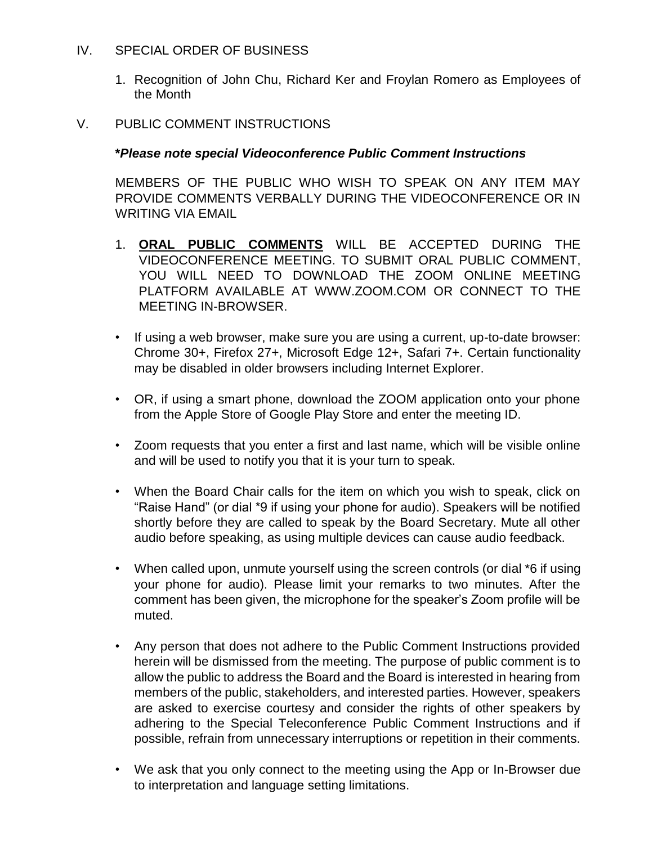### IV. SPECIAL ORDER OF BUSINESS

1. Recognition of John Chu, Richard Ker and Froylan Romero as Employees of the Month

### V. PUBLIC COMMENT INSTRUCTIONS

### **\****Please note special Videoconference Public Comment Instructions*

MEMBERS OF THE PUBLIC WHO WISH TO SPEAK ON ANY ITEM MAY PROVIDE COMMENTS VERBALLY DURING THE VIDEOCONFERENCE OR IN WRITING VIA EMAIL

- 1. **ORAL PUBLIC COMMENTS** WILL BE ACCEPTED DURING THE VIDEOCONFERENCE MEETING. TO SUBMIT ORAL PUBLIC COMMENT, YOU WILL NEED TO DOWNLOAD THE ZOOM ONLINE MEETING PLATFORM AVAILABLE AT WWW.ZOOM.COM OR CONNECT TO THE MEETING IN-BROWSER.
- If using a web browser, make sure you are using a current, up-to-date browser: Chrome 30+, Firefox 27+, Microsoft Edge 12+, Safari 7+. Certain functionality may be disabled in older browsers including Internet Explorer.
- OR, if using a smart phone, download the ZOOM application onto your phone from the Apple Store of Google Play Store and enter the meeting ID.
- Zoom requests that you enter a first and last name, which will be visible online and will be used to notify you that it is your turn to speak.
- When the Board Chair calls for the item on which you wish to speak, click on "Raise Hand" (or dial \*9 if using your phone for audio). Speakers will be notified shortly before they are called to speak by the Board Secretary. Mute all other audio before speaking, as using multiple devices can cause audio feedback.
- When called upon, unmute yourself using the screen controls (or dial \*6 if using your phone for audio). Please limit your remarks to two minutes. After the comment has been given, the microphone for the speaker's Zoom profile will be muted.
- Any person that does not adhere to the Public Comment Instructions provided herein will be dismissed from the meeting. The purpose of public comment is to allow the public to address the Board and the Board is interested in hearing from members of the public, stakeholders, and interested parties. However, speakers are asked to exercise courtesy and consider the rights of other speakers by adhering to the Special Teleconference Public Comment Instructions and if possible, refrain from unnecessary interruptions or repetition in their comments.
- We ask that you only connect to the meeting using the App or In-Browser due to interpretation and language setting limitations.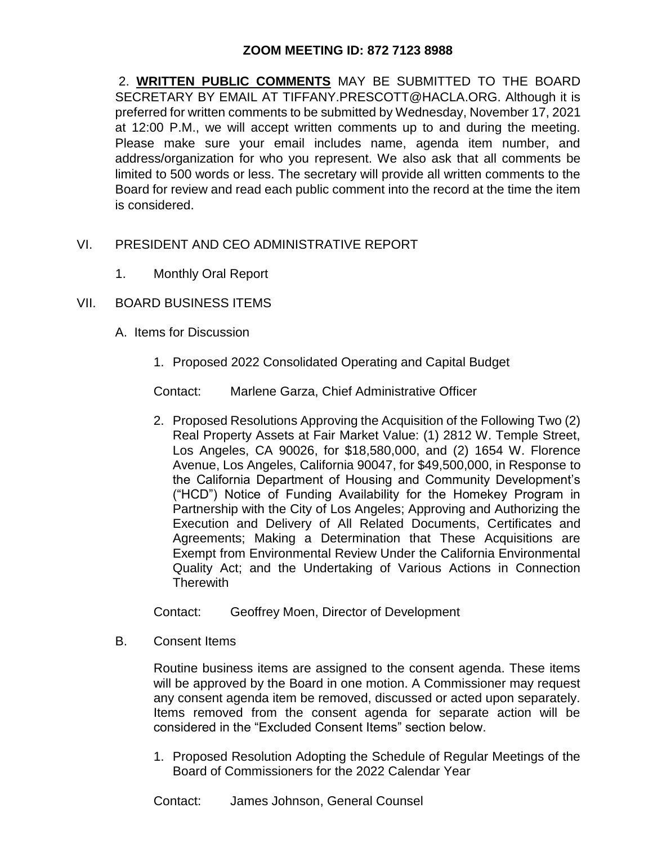# **ZOOM MEETING ID: 872 7123 8988**

2. **WRITTEN PUBLIC COMMENTS** MAY BE SUBMITTED TO THE BOARD SECRETARY BY EMAIL AT TIFFANY.PRESCOTT@HACLA.ORG. Although it is preferred for written comments to be submitted by Wednesday, November 17, 2021 at 12:00 P.M., we will accept written comments up to and during the meeting. Please make sure your email includes name, agenda item number, and address/organization for who you represent. We also ask that all comments be limited to 500 words or less. The secretary will provide all written comments to the Board for review and read each public comment into the record at the time the item is considered.

- VI. PRESIDENT AND CEO ADMINISTRATIVE REPORT
	- 1. Monthly Oral Report
- VII. BOARD BUSINESS ITEMS
	- A. Items for Discussion
		- 1. Proposed 2022 Consolidated Operating and Capital Budget

Contact: Marlene Garza, Chief Administrative Officer

2. Proposed Resolutions Approving the Acquisition of the Following Two (2) Real Property Assets at Fair Market Value: (1) 2812 W. Temple Street, Los Angeles, CA 90026, for \$18,580,000, and (2) 1654 W. Florence Avenue, Los Angeles, California 90047, for \$49,500,000, in Response to the California Department of Housing and Community Development's ("HCD") Notice of Funding Availability for the Homekey Program in Partnership with the City of Los Angeles; Approving and Authorizing the Execution and Delivery of All Related Documents, Certificates and Agreements; Making a Determination that These Acquisitions are Exempt from Environmental Review Under the California Environmental Quality Act; and the Undertaking of Various Actions in Connection **Therewith** 

Contact: Geoffrey Moen, Director of Development

B. Consent Items

Routine business items are assigned to the consent agenda. These items will be approved by the Board in one motion. A Commissioner may request any consent agenda item be removed, discussed or acted upon separately. Items removed from the consent agenda for separate action will be considered in the "Excluded Consent Items" section below.

1. Proposed Resolution Adopting the Schedule of Regular Meetings of the Board of Commissioners for the 2022 Calendar Year

Contact: James Johnson, General Counsel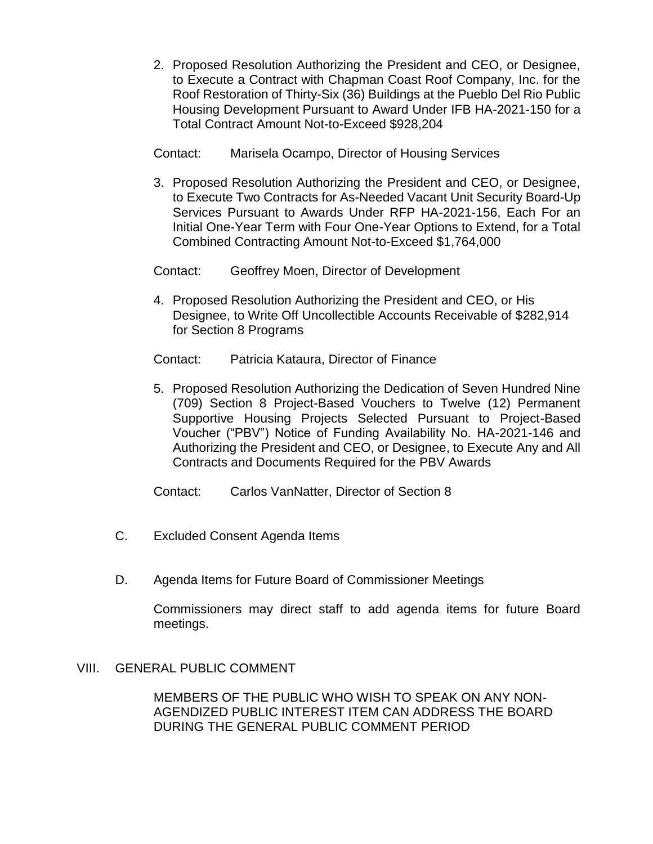2. Proposed Resolution Authorizing the President and CEO, or Designee, to Execute a Contract with Chapman Coast Roof Company, Inc. for the Roof Restoration of Thirty-Six (36) Buildings at the Pueblo Del Rio Public Housing Development Pursuant to Award Under IFB HA-2021-150 for a Total Contract Amount Not-to-Exceed \$928,204

Contact: Marisela Ocampo, Director of Housing Services

3. Proposed Resolution Authorizing the President and CEO, or Designee, to Execute Two Contracts for As-Needed Vacant Unit Security Board-Up Services Pursuant to Awards Under RFP HA-2021-156, Each For an Initial One-Year Term with Four One-Year Options to Extend, for a Total Combined Contracting Amount Not-to-Exceed \$1,764,000

Contact: Geoffrey Moen, Director of Development

4. Proposed Resolution Authorizing the President and CEO, or His Designee, to Write Off Uncollectible Accounts Receivable of \$282,914 for Section 8 Programs

Contact: Patricia Kataura, Director of Finance

5. Proposed Resolution Authorizing the Dedication of Seven Hundred Nine (709) Section 8 Project-Based Vouchers to Twelve (12) Permanent Supportive Housing Projects Selected Pursuant to Project-Based Voucher ("PBV") Notice of Funding Availability No. HA-2021-146 and Authorizing the President and CEO, or Designee, to Execute Any and All Contracts and Documents Required for the PBV Awards

Contact: Carlos VanNatter, Director of Section 8

- C. Excluded Consent Agenda Items
- D. Agenda Items for Future Board of Commissioner Meetings

Commissioners may direct staff to add agenda items for future Board meetings.

# VIII. GENERAL PUBLIC COMMENT

MEMBERS OF THE PUBLIC WHO WISH TO SPEAK ON ANY NON-AGENDIZED PUBLIC INTEREST ITEM CAN ADDRESS THE BOARD DURING THE GENERAL PUBLIC COMMENT PERIOD